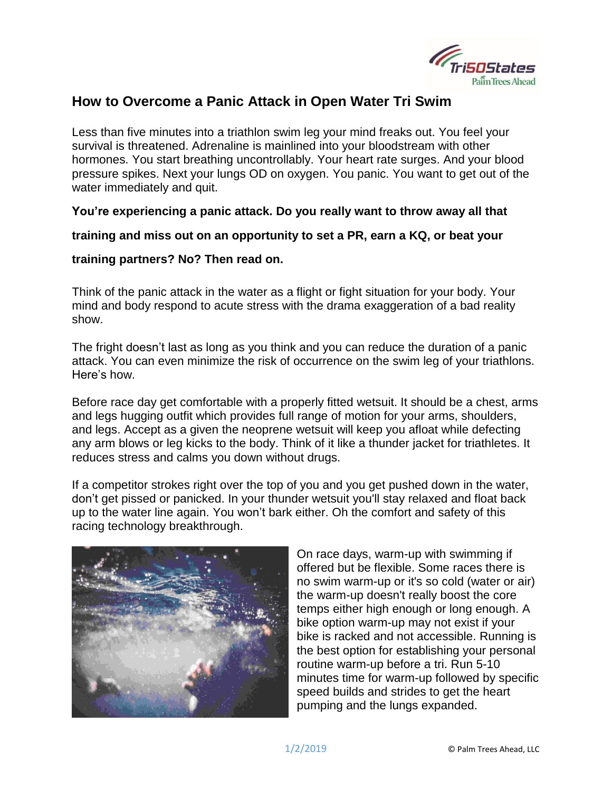

## **How to Overcome a Panic Attack in Open Water Tri Swim**

Less than five minutes into a triathlon swim leg your mind freaks out. You feel your survival is threatened. Adrenaline is mainlined into your bloodstream with other hormones. You start breathing uncontrollably. Your heart rate surges. And your blood pressure spikes. Next your lungs OD on oxygen. You panic. You want to get out of the water immediately and quit.

**You're experiencing a panic attack. Do you really want to throw away all that**

**training and miss out on an opportunity to set a PR, earn a KQ, or beat your**

## **training partners? No? Then read on.**

Think of the panic attack in the water as a flight or fight situation for your body. Your mind and body respond to acute stress with the drama exaggeration of a bad reality show.

The fright doesn't last as long as you think and you can reduce the duration of a panic attack. You can even minimize the risk of occurrence on the swim leg of your triathlons. Here's how.

Before race day get comfortable with a properly fitted wetsuit. It should be a chest, arms and legs hugging outfit which provides full range of motion for your arms, shoulders, and legs. Accept as a given the neoprene wetsuit will keep you afloat while defecting any arm blows or leg kicks to the body. Think of it like a thunder jacket for triathletes. It reduces stress and calms you down without drugs.

If a competitor strokes right over the top of you and you get pushed down in the water, don't get pissed or panicked. In your thunder wetsuit you'll stay relaxed and float back up to the water line again. You won't bark either. Oh the comfort and safety of this racing technology breakthrough.



On race days, warm-up with swimming if offered but be flexible. Some races there is no swim warm-up or it's so cold (water or air) the warm-up doesn't really boost the core temps either high enough or long enough. A bike option warm-up may not exist if your bike is racked and not accessible. Running is the best option for establishing your personal routine warm-up before a tri. Run 5-10 minutes time for warm-up followed by specific speed builds and strides to get the heart pumping and the lungs expanded.